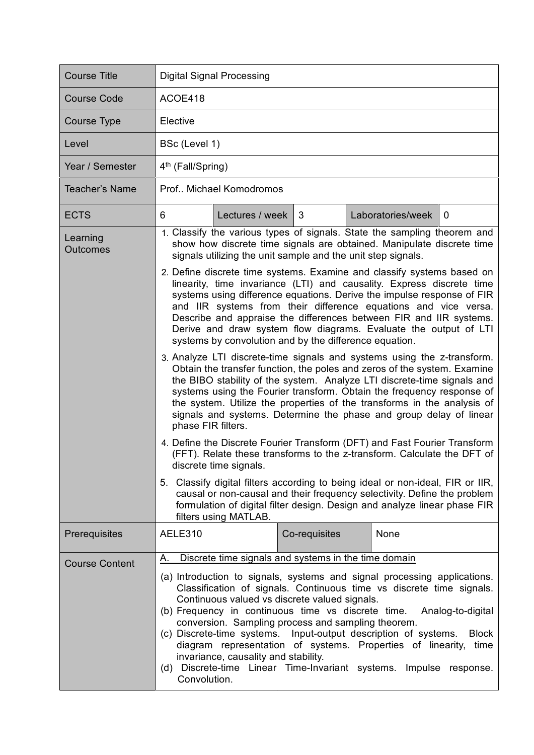| <b>Course Title</b>         | <b>Digital Signal Processing</b>                                                                                                                                                                                                                                                                                                                                                                                                                                                                                                                                                                                                                                                                                                                                                                                                                                                                                                                                                                                                                                                                                                                                                                                                                                                                                                                                                                                                                                                                                                                        |                 |               |  |                   |             |  |
|-----------------------------|---------------------------------------------------------------------------------------------------------------------------------------------------------------------------------------------------------------------------------------------------------------------------------------------------------------------------------------------------------------------------------------------------------------------------------------------------------------------------------------------------------------------------------------------------------------------------------------------------------------------------------------------------------------------------------------------------------------------------------------------------------------------------------------------------------------------------------------------------------------------------------------------------------------------------------------------------------------------------------------------------------------------------------------------------------------------------------------------------------------------------------------------------------------------------------------------------------------------------------------------------------------------------------------------------------------------------------------------------------------------------------------------------------------------------------------------------------------------------------------------------------------------------------------------------------|-----------------|---------------|--|-------------------|-------------|--|
| <b>Course Code</b>          | ACOE418                                                                                                                                                                                                                                                                                                                                                                                                                                                                                                                                                                                                                                                                                                                                                                                                                                                                                                                                                                                                                                                                                                                                                                                                                                                                                                                                                                                                                                                                                                                                                 |                 |               |  |                   |             |  |
| Course Type                 | Elective                                                                                                                                                                                                                                                                                                                                                                                                                                                                                                                                                                                                                                                                                                                                                                                                                                                                                                                                                                                                                                                                                                                                                                                                                                                                                                                                                                                                                                                                                                                                                |                 |               |  |                   |             |  |
| Level                       | BSc (Level 1)                                                                                                                                                                                                                                                                                                                                                                                                                                                                                                                                                                                                                                                                                                                                                                                                                                                                                                                                                                                                                                                                                                                                                                                                                                                                                                                                                                                                                                                                                                                                           |                 |               |  |                   |             |  |
| Year / Semester             | 4 <sup>th</sup> (Fall/Spring)                                                                                                                                                                                                                                                                                                                                                                                                                                                                                                                                                                                                                                                                                                                                                                                                                                                                                                                                                                                                                                                                                                                                                                                                                                                                                                                                                                                                                                                                                                                           |                 |               |  |                   |             |  |
| <b>Teacher's Name</b>       | Prof., Michael Komodromos                                                                                                                                                                                                                                                                                                                                                                                                                                                                                                                                                                                                                                                                                                                                                                                                                                                                                                                                                                                                                                                                                                                                                                                                                                                                                                                                                                                                                                                                                                                               |                 |               |  |                   |             |  |
| <b>ECTS</b>                 | 6                                                                                                                                                                                                                                                                                                                                                                                                                                                                                                                                                                                                                                                                                                                                                                                                                                                                                                                                                                                                                                                                                                                                                                                                                                                                                                                                                                                                                                                                                                                                                       | Lectures / week | 3             |  | Laboratories/week | $\mathbf 0$ |  |
| Learning<br><b>Outcomes</b> | 1. Classify the various types of signals. State the sampling theorem and<br>show how discrete time signals are obtained. Manipulate discrete time<br>signals utilizing the unit sample and the unit step signals.<br>2. Define discrete time systems. Examine and classify systems based on<br>linearity, time invariance (LTI) and causality. Express discrete time<br>systems using difference equations. Derive the impulse response of FIR<br>and IIR systems from their difference equations and vice versa.<br>Describe and appraise the differences between FIR and IIR systems.<br>Derive and draw system flow diagrams. Evaluate the output of LTI<br>systems by convolution and by the difference equation.<br>3. Analyze LTI discrete-time signals and systems using the z-transform.<br>Obtain the transfer function, the poles and zeros of the system. Examine<br>the BIBO stability of the system. Analyze LTI discrete-time signals and<br>systems using the Fourier transform. Obtain the frequency response of<br>the system. Utilize the properties of the transforms in the analysis of<br>signals and systems. Determine the phase and group delay of linear<br>phase FIR filters.<br>4. Define the Discrete Fourier Transform (DFT) and Fast Fourier Transform<br>(FFT). Relate these transforms to the z-transform. Calculate the DFT of<br>discrete time signals.<br>5. Classify digital filters according to being ideal or non-ideal, FIR or IIR,<br>causal or non-causal and their frequency selectivity. Define the problem |                 |               |  |                   |             |  |
| Prerequisites               | filters using MATLAB.<br>AELE310                                                                                                                                                                                                                                                                                                                                                                                                                                                                                                                                                                                                                                                                                                                                                                                                                                                                                                                                                                                                                                                                                                                                                                                                                                                                                                                                                                                                                                                                                                                        |                 | Co-requisites |  | None              |             |  |
| <b>Course Content</b>       | Discrete time signals and systems in the time domain<br>Α.                                                                                                                                                                                                                                                                                                                                                                                                                                                                                                                                                                                                                                                                                                                                                                                                                                                                                                                                                                                                                                                                                                                                                                                                                                                                                                                                                                                                                                                                                              |                 |               |  |                   |             |  |
|                             | (a) Introduction to signals, systems and signal processing applications.<br>Classification of signals. Continuous time vs discrete time signals.<br>Continuous valued vs discrete valued signals.<br>(b) Frequency in continuous time vs discrete time.<br>Analog-to-digital<br>conversion. Sampling process and sampling theorem.<br>(c) Discrete-time systems. Input-output description of systems.<br><b>Block</b><br>diagram representation of systems. Properties of linearity,<br>time<br>invariance, causality and stability.<br>Discrete-time Linear Time-Invariant systems. Impulse response.<br>(d)<br>Convolution.                                                                                                                                                                                                                                                                                                                                                                                                                                                                                                                                                                                                                                                                                                                                                                                                                                                                                                                           |                 |               |  |                   |             |  |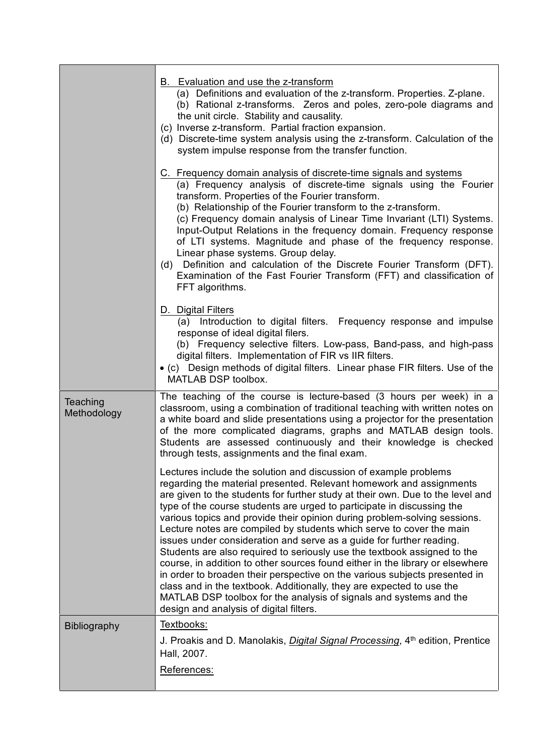|                         | B. Evaluation and use the z-transform<br>(a) Definitions and evaluation of the z-transform. Properties. Z-plane.<br>(b) Rational z-transforms. Zeros and poles, zero-pole diagrams and<br>the unit circle. Stability and causality.<br>(c) Inverse z-transform. Partial fraction expansion.<br>(d) Discrete-time system analysis using the z-transform. Calculation of the<br>system impulse response from the transfer function.                                                                                                                                                                                                                                                                                                                                                                                                                                                                                                                                     |
|-------------------------|-----------------------------------------------------------------------------------------------------------------------------------------------------------------------------------------------------------------------------------------------------------------------------------------------------------------------------------------------------------------------------------------------------------------------------------------------------------------------------------------------------------------------------------------------------------------------------------------------------------------------------------------------------------------------------------------------------------------------------------------------------------------------------------------------------------------------------------------------------------------------------------------------------------------------------------------------------------------------|
|                         | C. Frequency domain analysis of discrete-time signals and systems<br>(a) Frequency analysis of discrete-time signals using the Fourier<br>transform. Properties of the Fourier transform.<br>(b) Relationship of the Fourier transform to the z-transform.<br>(c) Frequency domain analysis of Linear Time Invariant (LTI) Systems.<br>Input-Output Relations in the frequency domain. Frequency response<br>of LTI systems. Magnitude and phase of the frequency response.<br>Linear phase systems. Group delay.<br>(d) Definition and calculation of the Discrete Fourier Transform (DFT).<br>Examination of the Fast Fourier Transform (FFT) and classification of<br>FFT algorithms.                                                                                                                                                                                                                                                                              |
|                         | D. Digital Filters<br>(a) Introduction to digital filters. Frequency response and impulse<br>response of ideal digital filers.<br>(b) Frequency selective filters. Low-pass, Band-pass, and high-pass<br>digital filters. Implementation of FIR vs IIR filters.<br>• (c) Design methods of digital filters. Linear phase FIR filters. Use of the<br>MATLAB DSP toolbox.                                                                                                                                                                                                                                                                                                                                                                                                                                                                                                                                                                                               |
| Teaching<br>Methodology | The teaching of the course is lecture-based (3 hours per week) in a<br>classroom, using a combination of traditional teaching with written notes on<br>a white board and slide presentations using a projector for the presentation<br>of the more complicated diagrams, graphs and MATLAB design tools.<br>Students are assessed continuously and their knowledge is checked<br>through tests, assignments and the final exam.                                                                                                                                                                                                                                                                                                                                                                                                                                                                                                                                       |
|                         | Lectures include the solution and discussion of example problems<br>regarding the material presented. Relevant homework and assignments<br>are given to the students for further study at their own. Due to the level and<br>type of the course students are urged to participate in discussing the<br>various topics and provide their opinion during problem-solving sessions.<br>Lecture notes are compiled by students which serve to cover the main<br>issues under consideration and serve as a guide for further reading.<br>Students are also required to seriously use the textbook assigned to the<br>course, in addition to other sources found either in the library or elsewhere<br>in order to broaden their perspective on the various subjects presented in<br>class and in the textbook. Additionally, they are expected to use the<br>MATLAB DSP toolbox for the analysis of signals and systems and the<br>design and analysis of digital filters. |
| <b>Bibliography</b>     | Textbooks:<br>J. Proakis and D. Manolakis, <i>Digital Signal Processing</i> , 4 <sup>th</sup> edition, Prentice<br>Hall, 2007.<br>References:                                                                                                                                                                                                                                                                                                                                                                                                                                                                                                                                                                                                                                                                                                                                                                                                                         |
|                         |                                                                                                                                                                                                                                                                                                                                                                                                                                                                                                                                                                                                                                                                                                                                                                                                                                                                                                                                                                       |